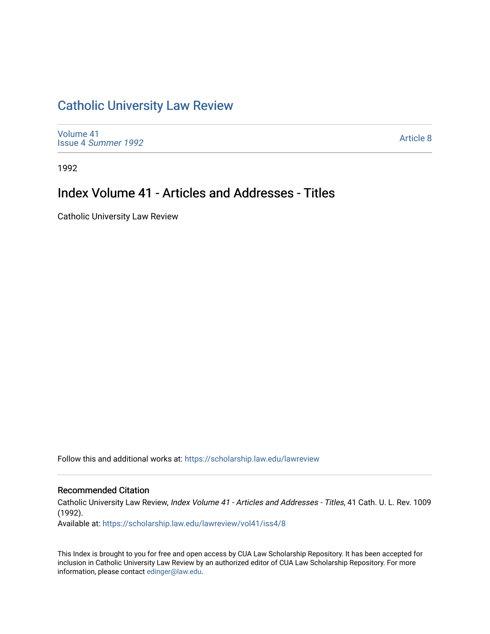## [Catholic University Law Review](https://scholarship.law.edu/lawreview)

[Volume 41](https://scholarship.law.edu/lawreview/vol41) Issue 4 [Summer 1992](https://scholarship.law.edu/lawreview/vol41/iss4) 

[Article 8](https://scholarship.law.edu/lawreview/vol41/iss4/8) 

1992

## Index Volume 41 - Articles and Addresses - Titles

Catholic University Law Review

Follow this and additional works at: [https://scholarship.law.edu/lawreview](https://scholarship.law.edu/lawreview?utm_source=scholarship.law.edu%2Flawreview%2Fvol41%2Fiss4%2F8&utm_medium=PDF&utm_campaign=PDFCoverPages)

### Recommended Citation

Catholic University Law Review, Index Volume 41 - Articles and Addresses - Titles, 41 Cath. U. L. Rev. 1009 (1992).

Available at: [https://scholarship.law.edu/lawreview/vol41/iss4/8](https://scholarship.law.edu/lawreview/vol41/iss4/8?utm_source=scholarship.law.edu%2Flawreview%2Fvol41%2Fiss4%2F8&utm_medium=PDF&utm_campaign=PDFCoverPages)

This Index is brought to you for free and open access by CUA Law Scholarship Repository. It has been accepted for inclusion in Catholic University Law Review by an authorized editor of CUA Law Scholarship Repository. For more information, please contact [edinger@law.edu.](mailto:edinger@law.edu)